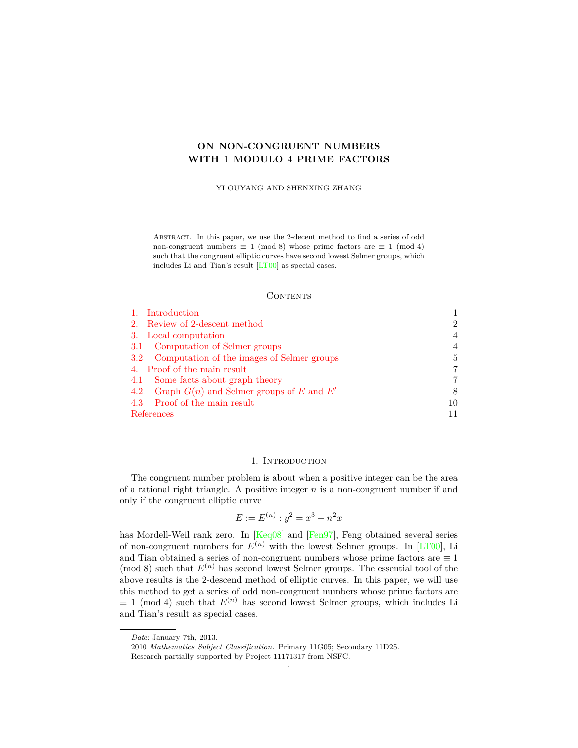# **ON NON-CONGRUENT NUMBERS WITH** 1 **MODULO** 4 **PRIME FACTORS**

YI OUYANG AND SHENXING ZHANG

Abstract. In this paper, we use the 2-decent method to find a series of odd non-congruent numbers  $\equiv 1 \pmod{8}$  whose prime factors are  $\equiv 1 \pmod{4}$ such that the congruent elliptic curves have second lowest Selmer groups, which includes Li and Tian's result [[LT00\]](#page-10-0) as special cases.

# **CONTENTS**

| 1. Introduction                                 |                |
|-------------------------------------------------|----------------|
| 2. Review of 2-descent method                   | $\mathfrak{D}$ |
| 3. Local computation                            | 4              |
| 3.1. Computation of Selmer groups               | 4              |
| 3.2. Computation of the images of Selmer groups | 5.             |
| 4. Proof of the main result                     | 7              |
| 4.1. Some facts about graph theory              |                |
| 4.2. Graph $G(n)$ and Selmer groups of E and E' | 8              |
| 4.3. Proof of the main result                   | 10             |
| References                                      |                |

# 1. INTRODUCTION

<span id="page-0-0"></span>The congruent number problem is about when a positive integer can be the area of a rational right triangle. A positive integer *n* is a non-congruent number if and only if the congruent elliptic curve

$$
E := E^{(n)} : y^2 = x^3 - n^2 x
$$

has Mordell-Weil rank zero. In [[Keq08](#page-10-2)] and [[Fen97](#page-10-3)], Feng obtained several series of non-congruent numbers for  $E^{(n)}$  with the lowest Selmer groups. In [\[LT00\]](#page-10-0), Li and Tian obtained a series of non-congruent numbers whose prime factors are *≡* 1 (mod 8) such that  $E^{(n)}$  has second lowest Selmer groups. The essential tool of the above results is the 2-descend method of elliptic curves. In this paper, we will use this method to get a series of odd non-congruent numbers whose prime factors are  $\equiv$  1 (mod 4) such that  $E^{(n)}$  has second lowest Selmer groups, which includes Li and Tian's result as special cases.

*Date*: January 7th, 2013.

<sup>2010</sup> *Mathematics Subject Classification.* Primary 11G05; Secondary 11D25. Research partially supported by Project 11171317 from NSFC.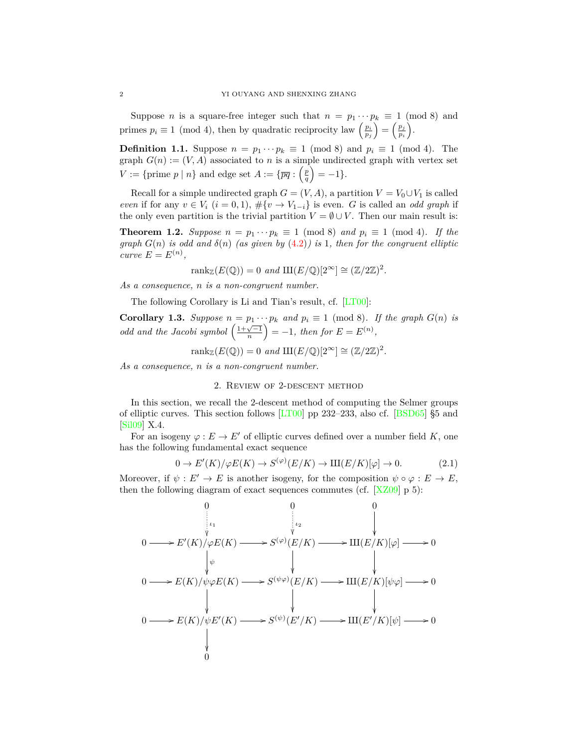Suppose *n* is a square-free integer such that  $n = p_1 \cdots p_k \equiv 1 \pmod{8}$  and primes  $p_i \equiv 1 \pmod{4}$ , then by quadratic reciprocity law  $\left(\frac{p_i}{p_j}\right)$  $=\left(\frac{p_j}{p_j}\right)$ *pi* ).

**Definition 1.1.** Suppose  $n = p_1 \cdots p_k \equiv 1 \pmod{8}$  and  $p_i \equiv 1 \pmod{4}$ . The graph  $G(n) := (V, A)$  associated to *n* is a simple undirected graph with vertex set *V* := {prime *p* | *n*} and edge set  $A := \{ \overline{pq} : \left( \frac{p}{q} \right)$  $= -1$ }.

Recall for a simple undirected graph  $G = (V, A)$ , a partition  $V = V_0 \cup V_1$  is called *even* if for any  $v \in V_i$   $(i = 0, 1)$ ,  $\#\{v \to V_{1-i}\}\$ is even. *G* is called an *odd graph* if the only even partition is the trivial partition  $V = \emptyset \cup V$ . Then our main result is:

<span id="page-1-1"></span>**Theorem 1.2.** *Suppose*  $n = p_1 \cdots p_k \equiv 1 \pmod{8}$  *and*  $p_i \equiv 1 \pmod{4}$ *. If the graph*  $G(n)$  *is odd and*  $\delta(n)$  *(as given by* ([4.2\)](#page-8-0)*) is* 1*, then for the congruent elliptic*  $curve E = E^{(n)},$ 

$$
rank_{\mathbb{Z}}(E(\mathbb{Q})) = 0 \text{ and } \text{III}(E/\mathbb{Q})[2^{\infty}] \cong (\mathbb{Z}/2\mathbb{Z})^2.
$$

*As a consequence, n is a non-congruent number.*

The following Corollary is Li and Tian's result, cf. [\[LT00\]](#page-10-0):

<span id="page-1-3"></span>**Corollary 1.3.** *Suppose*  $n = p_1 \cdots p_k$  *and*  $p_i \equiv 1 \pmod{8}$ *. If the graph*  $G(n)$  *is odd and the Jacobi symbol*  $\left(\frac{1+\sqrt{-1}}{n}\right)$  $= -1$ *, then for*  $E = E^{(n)}$ ,

 $rank_{\mathbb{Z}}(E(\mathbb{Q})) = 0$  *and*  $\text{III}(E/\mathbb{Q})[2^{\infty}] \cong (\mathbb{Z}/2\mathbb{Z})^2$ .

<span id="page-1-0"></span>*As a consequence, n is a non-congruent number.*

## 2. Review of 2-descent method

In this section, we recall the 2-descent method of computing the Selmer groups of elliptic curves. This section follows [\[LT00](#page-10-0)] pp 232–233, also cf. [[BSD65\]](#page-10-4) §5 and [\[Sil09](#page-10-5)] X.4.

For an isogeny  $\varphi : E \to E'$  of elliptic curves defined over a number field *K*, one has the following fundamental exact sequence

<span id="page-1-2"></span>
$$
0 \to E'(K)/\varphi E(K) \to S^{(\varphi)}(E/K) \to \mathrm{III}(E/K)[\varphi] \to 0. \tag{2.1}
$$

Moreover, if  $\psi : E' \to E$  is another isogeny, for the composition  $\psi \circ \varphi : E \to E$ , then the following diagram of exact sequences commutes (cf.  $[XZ09]$  p 5):

$$
0 \longrightarrow E'(K)/\varphi E(K) \longrightarrow S^{(\varphi)}(E/K) \longrightarrow \text{III}(E/K)[\varphi] \longrightarrow 0
$$
  
\n
$$
0 \longrightarrow E(K)/\psi \varphi E(K) \longrightarrow S^{(\psi\varphi)}(E/K) \longrightarrow \text{III}(E/K)[\psi\varphi] \longrightarrow 0
$$
  
\n
$$
0 \longrightarrow E(K)/\psi E'(K) \longrightarrow S^{(\psi\varphi)}(E'/K) \longrightarrow \text{III}(E'/K)[\psi] \longrightarrow 0
$$
  
\n
$$
\downarrow
$$
  
\n
$$
0 \longrightarrow E(K)/\psi E'(K) \longrightarrow S^{(\psi)}(E'/K) \longrightarrow \text{III}(E'/K)[\psi] \longrightarrow 0
$$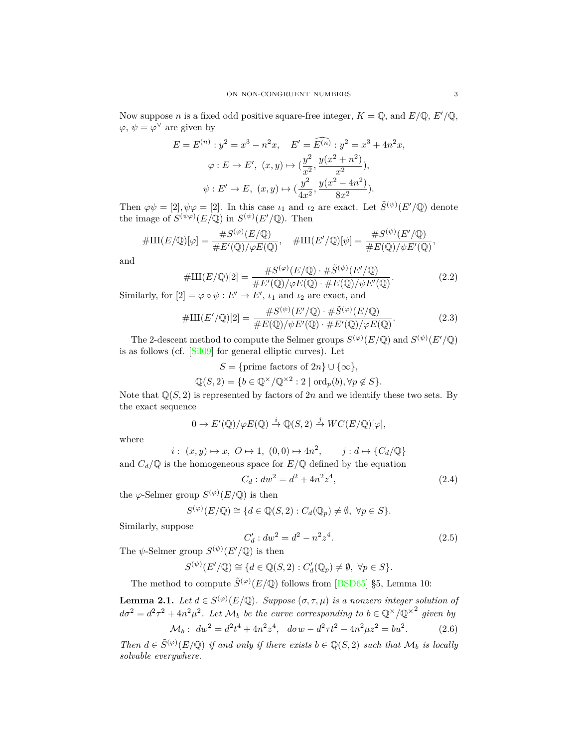Now suppose *n* is a fixed odd positive square-free integer,  $K = \mathbb{Q}$ , and  $E/\mathbb{Q}$ ,  $E'/\mathbb{Q}$ ,  $\varphi, \psi = \varphi^{\vee}$  are given by

$$
E = E^{(n)} : y^2 = x^3 - n^2 x, \quad E' = \widehat{E^{(n)}} : y^2 = x^3 + 4n^2 x,
$$
  

$$
\varphi : E \to E', \ (x, y) \mapsto (\frac{y^2}{x^2}, \frac{y(x^2 + n^2)}{x^2}),
$$
  

$$
\psi : E' \to E, \ (x, y) \mapsto (\frac{y^2}{4x^2}, \frac{y(x^2 - 4n^2)}{8x^2}).
$$

Then  $\varphi \psi = [2], \psi \varphi = [2]$ . In this case  $\iota_1$  and  $\iota_2$  are exact. Let  $\tilde{S}^{(\psi)}(E'/\mathbb{Q})$  denote the image of  $S^{(\psi \varphi)}(E/\mathbb{Q})$  in  $S^{(\psi)}(E'/\mathbb{Q})$ . Then

$$
#III(E/\mathbb{Q})[\varphi] = \frac{\#S^{(\varphi)}(E/\mathbb{Q})}{\#E'(\mathbb{Q})/\varphi E(\mathbb{Q})}, \quad #III(E'/\mathbb{Q})[\psi] = \frac{\#S^{(\psi)}(E'/\mathbb{Q})}{\#E(\mathbb{Q})/\psi E'(\mathbb{Q})},
$$

and

$$
\#III(E/\mathbb{Q})[2] = \frac{\#S^{(\varphi)}(E/\mathbb{Q}) \cdot \# \tilde{S}^{(\psi)}(E'/\mathbb{Q})}{\#E'(\mathbb{Q})/\varphi E(\mathbb{Q}) \cdot \#E(\mathbb{Q})/\psi E'(\mathbb{Q})}.
$$
\n(2.2)

Similarly, for  $[2] = \varphi \circ \psi : E' \to E'$ ,  $\iota_1$  and  $\iota_2$  are exact, and

<span id="page-2-2"></span>
$$
\#III(E'/\mathbb{Q})[2] = \frac{\#S^{(\psi)}(E'/\mathbb{Q}) \cdot \# \tilde{S}^{(\varphi)}(E/\mathbb{Q})}{\#E(\mathbb{Q})/\psi E'(\mathbb{Q}) \cdot \# E'(\mathbb{Q})/\varphi E(\mathbb{Q})}.
$$
\n(2.3)

The 2-descent method to compute the Selmer groups  $S^{(\varphi)}(E/\mathbb{Q})$  and  $S^{(\psi)}(E'/\mathbb{Q})$ is as follows (cf. [[Sil09\]](#page-10-5) for general elliptic curves). Let

$$
S = \{ \text{prime factors of } 2n \} \cup \{ \infty \},
$$
  

$$
\mathbb{Q}(S, 2) = \{ b \in \mathbb{Q}^{\times}/\mathbb{Q}^{\times 2} : 2 \mid \text{ord}_p(b), \forall p \notin S \}.
$$

Note that  $\mathbb{Q}(S, 2)$  is represented by factors of 2*n* and we identify these two sets. By the exact sequence

$$
0 \to E'(\mathbb{Q})/\varphi E(\mathbb{Q}) \stackrel{i}{\to} \mathbb{Q}(S,2) \stackrel{j}{\to} WC(E/\mathbb{Q})[\varphi],
$$

where

$$
i: (x, y) \mapsto x, \ O \mapsto 1, \ (0, 0) \mapsto 4n^2, \qquad j: d \mapsto \{C_d/\mathbb{Q}\}
$$
 and  $C_d/\mathbb{Q}$  is the homogeneous space for  $E/\mathbb{Q}$  defined by the equation

$$
C_d: dw^2 = d^2 + 4n^2z^4,
$$
\n(2.4)

the  $\varphi$ -Selmer group  $S^{(\varphi)}(E/\mathbb{Q})$  is then

$$
S^{(\varphi)}(E/\mathbb{Q}) \cong \{d \in \mathbb{Q}(S,2) : C_d(\mathbb{Q}_p) \neq \emptyset, \ \forall p \in S\}.
$$

Similarly, suppose

$$
C'_d: dw^2 = d^2 - n^2 z^4.
$$
\n(2.5)

The  $\psi$ -Selmer group  $S^{(\psi)}(E'/\mathbb{Q})$  is then

$$
S^{(\psi)}(E'/\mathbb{Q}) \cong \{ d \in \mathbb{Q}(S,2) : C'_d(\mathbb{Q}_p) \neq \emptyset, \ \forall p \in S \}.
$$

The method to compute  $\tilde{S}^{(\varphi)}(E/\mathbb{Q})$  follows from [\[BSD65](#page-10-4)] §5, Lemma 10:

<span id="page-2-0"></span>**Lemma 2.1.** *Let*  $d \in S^{(\varphi)}(E/\mathbb{Q})$ *. Suppose*  $(\sigma, \tau, \mu)$  *is a nonzero integer solution of*  $d\sigma^2 = d^2\tau^2 + 4n^2\mu^2$ . Let  $\mathcal{M}_b$  be the curve corresponding to  $b \in \mathbb{Q}^\times/\mathbb{Q}^{\times^2}$  given by

<span id="page-2-1"></span>
$$
\mathcal{M}_b: \ dw^2 = d^2 t^4 + 4n^2 z^4, \ d\sigma w - d^2 \tau t^2 - 4n^2 \mu z^2 = b u^2. \tag{2.6}
$$

*Then*  $d \in \tilde{S}^{(\varphi)}(E/\mathbb{Q})$  *if and only if there exists*  $b \in \mathbb{Q}(S, 2)$  *such that*  $\mathcal{M}_b$  *is locally solvable everywhere.*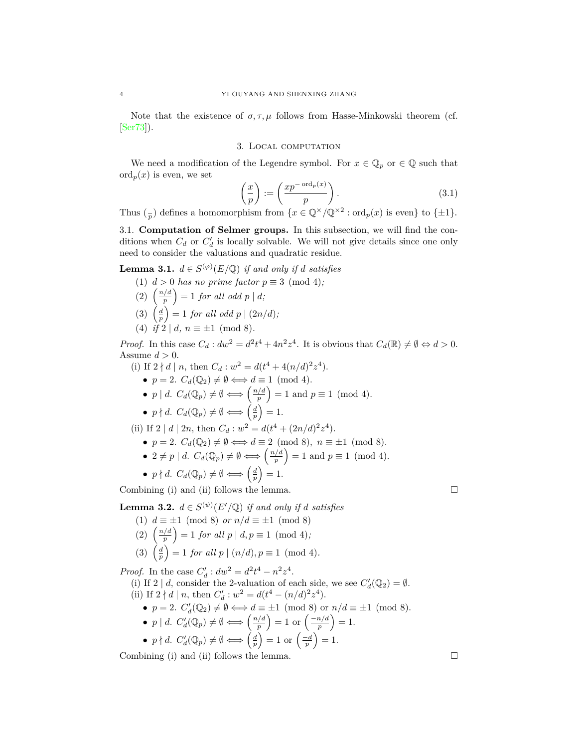Note that the existence of  $\sigma, \tau, \mu$  follows from Hasse-Minkowski theorem (cf. [\[Ser73](#page-10-7)]).

### 3. Local computation

<span id="page-3-0"></span>We need a modification of the Legendre symbol. For  $x \in \mathbb{Q}_p$  or  $\in \mathbb{Q}$  such that  $\operatorname{ord}_p(x)$  is even, we set

$$
\left(\frac{x}{p}\right) := \left(\frac{xp^{-\operatorname{ord}_p(x)}}{p}\right). \tag{3.1}
$$

Thus  $\binom{1}{p}$  defines a homomorphism from  $\{x \in \mathbb{Q}^\times/\mathbb{Q}^{\times2} : \text{ord}_p(x) \text{ is even}\}\)$  to  $\{\pm 1\}.$ 

<span id="page-3-1"></span>3.1. **Computation of Selmer groups.** In this subsection, we will find the conditions when  $C_d$  or  $C'_d$  is locally solvable. We will not give details since one only need to consider the valuations and quadratic residue.

<span id="page-3-2"></span>**Lemma 3.1.**  $d \in S^{(\varphi)}(E/\mathbb{Q})$  *if and only if d satisfies* 

- (1)  $d > 0$  *has no prime factor*  $p \equiv 3 \pmod{4}$ ;
- $\binom{n/d}{2}$ *p*  $\left( \begin{array}{c} 1 \end{array} \right) = 1$  *for all odd*  $p \mid d$ *;*
- $(3) \left(\frac{d}{p}\right)$  $\left( \frac{1}{p} \right) = 1$  *for all odd p*  $\left( \frac{2n}{d} \right)$ ;
- (4)  $if \ 2 \mid d, \ n \equiv \pm 1 \pmod{8}$ .

*Proof.* In this case  $C_d$  :  $dw^2 = d^2t^4 + 4n^2z^4$ . It is obvious that  $C_d(\mathbb{R}) \neq \emptyset \Leftrightarrow d > 0$ . Assume  $d > 0$ .

- (i) If  $2 \nmid d \mid n$ , then  $C_d : w^2 = d(t^4 + 4(n/d)^2 z^4)$ .
	- $p = 2$ .  $C_d(\mathbb{Q}_2) \neq \emptyset \Longleftrightarrow d \equiv 1 \pmod{4}$ .
	- $\bullet$  *p* | *d*.  $C_d(\mathbb{Q}_p) \neq \emptyset \Longleftrightarrow (\frac{n/d}{p})$ *p*  $= 1$  and  $p \equiv 1 \pmod{4}$ .
	- $p \nmid d$ .  $C_d(\mathbb{Q}_p) \neq \emptyset \Longleftrightarrow \left(\frac{d}{p}\right)$  $= 1.$

(ii) If  $2 \mid d \mid 2n$ , then  $C_d : w^2 = d(t^4 + (2n/d)^2 z^4)$ .

- $p = 2$ .  $C_d(\mathbb{Q}_2) \neq \emptyset \Longleftrightarrow d \equiv 2 \pmod{8}, n \equiv \pm 1 \pmod{8}.$
- $2 \neq p \mid d$ .  $C_d(\mathbb{Q}_p) \neq \emptyset \Longleftrightarrow \left(\frac{n/d}{p}\right)$ *p*  $= 1$  and  $p \equiv 1 \pmod{4}$ .
- $p \nmid d$ .  $C_d(\mathbb{Q}_p) \neq \emptyset \Longleftrightarrow \left(\frac{d}{p}\right)$  $= 1.$

Combining (i) and (ii) follows the lemma.  $\Box$ 

<span id="page-3-3"></span>Lemma 3.2.  $d \in S^{(\psi)}(E'/\mathbb{Q})$  *if and only if d satisfies* 

- (1)  $d \equiv \pm 1 \pmod{8}$  *or*  $n/d \equiv \pm 1 \pmod{8}$
- $\left(2\right)$   $\left(\frac{n/d}{n}\right)$ *p*  $= 1$  *for all*  $p | d, p \equiv 1 \pmod{4}$ ;
- $(3) \left(\frac{d}{p}\right)$  $\left( \int_{0}^{a} f(x) \right) = 1$  *for all p*  $| (n/d), p \equiv 1 \pmod{4}$ .

*Proof.* In the case  $C'_d$  :  $dw^2 = d^2t^4 - n^2z^4$ .

(i) If 2 | *d*, consider the 2-valuation of each side, we see  $C'_d(\mathbb{Q}_2) = \emptyset$ . (ii) If  $2 \nmid d \mid n$ , then  $C'_d : w^2 = d(t^4 - (n/d)^2 z^4)$ .

- $p = 2$ .  $C'_d(\mathbb{Q}_2) \neq \emptyset \Longleftrightarrow d \equiv \pm 1 \pmod{8}$  or  $n/d \equiv \pm 1 \pmod{8}$ .
- *p | d*.  $C'_d(\mathbb{Q}_p) \neq \emptyset \Longleftrightarrow \left(\frac{n/d}{p}\right)$ *p*  $= 1 \text{ or } \left( \frac{-n/d}{p} \right)$  $= 1.$

• 
$$
p \nmid d
$$
.  $C'_d(\mathbb{Q}_p) \neq \emptyset \Longleftrightarrow \left(\frac{d}{p}\right) = 1$  or  $\left(\frac{-d}{p}\right) = 1$ .

Combining (i) and (ii) follows the lemma.  $\Box$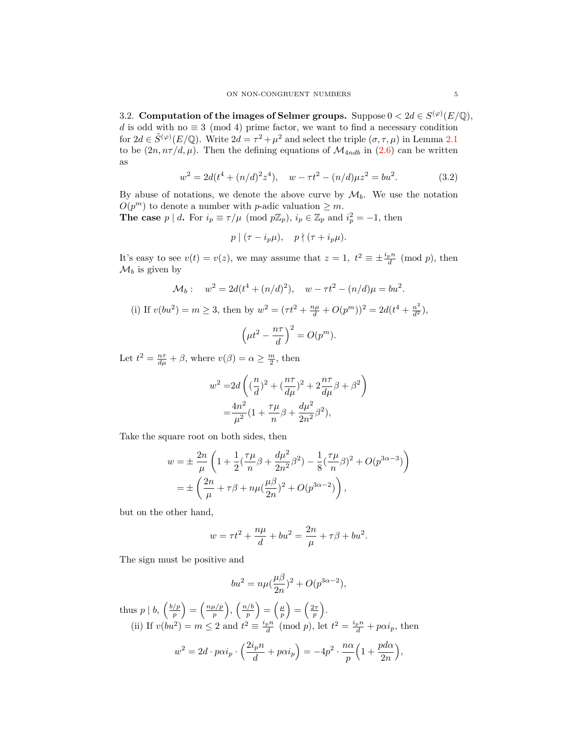<span id="page-4-0"></span>3.2. **Computation of the images of Selmer groups.** Suppose  $0 < 2d \in S^{(\varphi)}(E/\mathbb{Q})$ , *d* is odd with no  $\equiv$  3 (mod 4) prime factor, we want to find a necessary condition for  $2d \in \tilde{S}^{(\varphi)}(E/\mathbb{Q})$ . Write  $2d = \tau^2 + \mu^2$  and select the triple  $(\sigma, \tau, \mu)$  in Lemma [2.1](#page-2-0) to be  $(2n, n\tau/d, \mu)$ . Then the defining equations of  $\mathcal{M}_{4ndb}$  in  $(2.6)$  $(2.6)$  can be written as

<span id="page-4-1"></span>
$$
w^{2} = 2d(t^{4} + (n/d)^{2}z^{4}), \quad w - \tau t^{2} - (n/d)\mu z^{2} = bu^{2}.
$$
 (3.2)

By abuse of notations, we denote the above curve by  $\mathcal{M}_b$ . We use the notation  $O(p^m)$  to denote a number with *p*-adic valuation  $\geq m$ .

**The case**  $p \mid d$ **.** For  $i_p \equiv \tau / \mu \pmod{p \mathbb{Z}_p}$ ,  $i_p \in \mathbb{Z}_p$  and  $i_p^2 = -1$ , then

$$
p \mid (\tau - i_p \mu), \quad p \nmid (\tau + i_p \mu).
$$

It's easy to see  $v(t) = v(z)$ , we may assume that  $z = 1$ ,  $t^2 \equiv \pm \frac{i_p n}{d} \pmod{p}$ , then  $\mathcal{M}_b$  is given by

$$
\mathcal{M}_b: \quad w^2 = 2d(t^4 + (n/d)^2), \quad w - \tau t^2 - (n/d)\mu = bu^2.
$$
\n(i) If  $v(bu^2) = m \ge 3$ , then by  $w^2 = (\tau t^2 + \frac{n\mu}{d} + O(p^m))^2 = 2d(t^4 + \frac{n^2}{d^2}),$ 

\n
$$
\left(\mu t^2 - \frac{n\tau}{d}\right)^2 = O(p^m).
$$

Let  $t^2 = \frac{n\tau}{d\mu} + \beta$ , where  $v(\beta) = \alpha \ge \frac{m}{2}$ , then

$$
w^{2} = 2d\left((\frac{n}{d})^{2} + (\frac{n\tau}{d\mu})^{2} + 2\frac{n\tau}{d\mu}\beta + \beta^{2}\right)
$$
  
=  $\frac{4n^{2}}{\mu^{2}}(1 + \frac{\tau\mu}{n}\beta + \frac{d\mu^{2}}{2n^{2}}\beta^{2}),$ 

Take the square root on both sides, then

$$
w = \pm \frac{2n}{\mu} \left( 1 + \frac{1}{2} \left( \frac{\tau \mu}{n} \beta + \frac{d\mu^2}{2n^2} \beta^2 \right) - \frac{1}{8} \left( \frac{\tau \mu}{n} \beta \right)^2 + O(p^{3\alpha - 3}) \right)
$$
  
= 
$$
\pm \left( \frac{2n}{\mu} + \tau \beta + n\mu \left( \frac{\mu \beta}{2n} \right)^2 + O(p^{3\alpha - 2}) \right),
$$

but on the other hand,

$$
w = \tau t^2 + \frac{n\mu}{d} + bu^2 = \frac{2n}{\mu} + \tau \beta + bu^2.
$$

The sign must be positive and

$$
bu^2 = n\mu(\frac{\mu\beta}{2n})^2 + O(p^{3\alpha - 2}),
$$

thus  $p \mid b, \left(\frac{b/p}{p}\right)$ *p*  $=\left(\frac{n\mu/p}{p}\right)$ *p*  $\left( \frac{n/b}{n} \right)$ *p*  $=\left(\frac{\mu}{p}\right)$  $=\left(\frac{2\tau}{p}\right)$  . (ii) If  $v(bu^2) = m \le 2$  and  $t^2 \equiv \frac{i_p n}{d} \pmod{p}$ , let  $t^2 = \frac{i_p n}{d} + p\alpha i_p$ , then

$$
w^{2} = 2d \cdot p \alpha i_{p} \cdot \left(\frac{2i_{p}n}{d} + p \alpha i_{p}\right) = -4p^{2} \cdot \frac{n \alpha}{p} \left(1 + \frac{p d \alpha}{2n}\right),
$$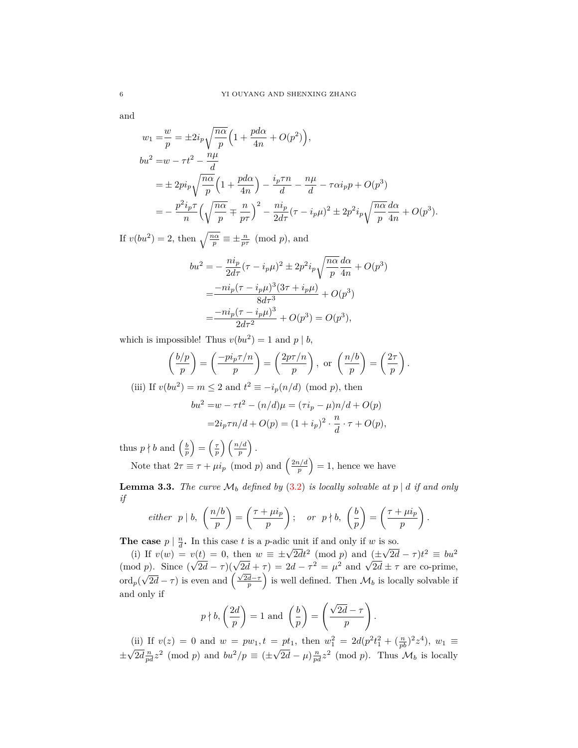and

$$
w_1 = \frac{w}{p} = \pm 2i_p \sqrt{\frac{n\alpha}{p}} \left( 1 + \frac{p d\alpha}{4n} + O(p^2) \right),
$$
  
\n
$$
bu^2 = w - \tau t^2 - \frac{n\mu}{d}
$$
  
\n
$$
= \pm 2pi_p \sqrt{\frac{n\alpha}{p}} \left( 1 + \frac{p d\alpha}{4n} \right) - \frac{i_p \tau n}{d} - \frac{n\mu}{d} - \tau \alpha i_p p + O(p^3)
$$
  
\n
$$
= -\frac{p^2 i_p \tau}{n} \left( \sqrt{\frac{n\alpha}{p}} \mp \frac{n}{p\tau} \right)^2 - \frac{n i_p}{2 d\tau} (\tau - i_p \mu)^2 \pm 2p^2 i_p \sqrt{\frac{n\alpha}{p}} \frac{d\alpha}{4n} + O(p^3).
$$

If  $v(bu^2) = 2$ , then  $\sqrt{\frac{n\alpha}{p}} \equiv \pm \frac{n}{p\tau} \pmod{p}$ , and

$$
bu^{2} = -\frac{ni_{p}}{2d\tau}(\tau - i_{p}\mu)^{2} \pm 2p^{2}i_{p}\sqrt{\frac{n\alpha}{p}}\frac{d\alpha}{4n} + O(p^{3})
$$
  
= 
$$
\frac{-ni_{p}(\tau - i_{p}\mu)^{3}(3\tau + i_{p}\mu)}{8d\tau^{3}} + O(p^{3})
$$
  
= 
$$
\frac{-ni_{p}(\tau - i_{p}\mu)^{3}}{2d\tau^{2}} + O(p^{3}) = O(p^{3}),
$$

which is impossible! Thus  $v(bu^2) = 1$  and  $p | b$ ,

$$
\left(\frac{b/p}{p}\right) = \left(\frac{-pi_p\tau/n}{p}\right) = \left(\frac{2p\tau/n}{p}\right), \text{ or } \left(\frac{n/b}{p}\right) = \left(\frac{2\tau}{p}\right)
$$
\n
$$
\left(\frac{b/2}{p}\right) = \left(\frac{2\tau}{p}\right) = \left(\frac{2\tau}{p}\right)
$$

*.*

(iii) If  $v(bu^2) = m \leq 2$  and  $t^2 \equiv -i_p(n/d) \pmod{p}$ , then

$$
bu^{2} = w - \tau t^{2} - (n/d)\mu = (\tau i_{p} - \mu)n/d + O(p)
$$

$$
= 2i_{p}\tau n/d + O(p) = (1 + i_{p})^{2} \cdot \frac{n}{d} \cdot \tau + O(p),
$$

thus  $p \nmid b$  and  $\left(\frac{b}{p}\right)$  $=$  $\left(\frac{\tau}{p}\right)$  *n*/*d p .*

Note that  $2\tau \equiv \tau + \mu i_p \pmod{p}$  and  $\left(\frac{2n/d}{p}\right)$ *p*  $= 1$ , hence we have

<span id="page-5-0"></span>**Lemma 3.3.** *The curve*  $\mathcal{M}_b$  *defined by* ([3.2\)](#page-4-1) *is locally solvable at*  $p \mid d$  *if and only if*

*either* 
$$
p \mid b
$$
,  $\left(\frac{n/b}{p}\right) = \left(\frac{\tau + \mu i_p}{p}\right)$ ; *or*  $p \nmid b$ ,  $\left(\frac{b}{p}\right) = \left(\frac{\tau + \mu i_p}{p}\right)$ .

**The case**  $p \mid \frac{n}{d}$ . In this case *t* is a *p*-adic unit if and only if *w* is so. *√*

(i) If  $v(w) = v(t) = 0$ , then  $w \equiv \pm \sqrt{2dt^2} \pmod{p}$  and ( $\pm$  $2\overline{d} - \tau$ ) $t^2 \equiv bu^2$ (mod *p*). Since (  $\sqrt{2d} - \tau$ )( $\sqrt{2d} + \tau$ ) = 2*d*  $-\tau^2 = \mu^2$  and  $\sqrt{2d} \pm \tau$  are co-prime, ord*p*(  $\sqrt{2d} - \tau$ ) is even and  $\left(\frac{\sqrt{2d}-\tau}{p}\right)$ ) is well defined. Then  $\mathcal{M}_b$  is locally solvable if and only if

$$
p \nmid b, \left(\frac{2d}{p}\right) = 1
$$
 and  $\left(\frac{b}{p}\right) = \left(\frac{\sqrt{2d} - \tau}{p}\right).$ 

(ii) If  $v(z) = 0$  and  $w = pw_1, t = pt_1$ , then  $w_1^2 = 2d(p^2t_1^2 + (\frac{n}{pb})^2z^4)$ ,  $w_1 \equiv$ *± √*  $\frac{2d}{pd}z^2$  (mod *p*) and  $bu^2/p \equiv (\pm \sqrt{\frac{m}{pd}})$  $\overline{2d} - \mu \frac{n}{pd} z^2 \pmod{p}$ . Thus  $\mathcal{M}_b$  is locally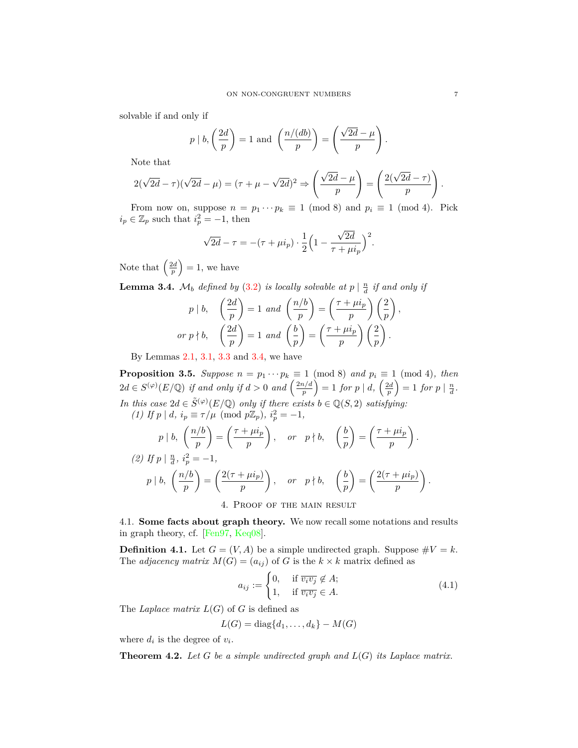solvable if and only if

$$
p | b, \left(\frac{2d}{p}\right) = 1
$$
 and  $\left(\frac{n/(db)}{p}\right) = \left(\frac{\sqrt{2d} - \mu}{p}\right).$ 

Note that

$$
2(\sqrt{2d}-\tau)(\sqrt{2d}-\mu)=(\tau+\mu-\sqrt{2d})^2\Rightarrow\left(\frac{\sqrt{2d}-\mu}{p}\right)=\left(\frac{2(\sqrt{2d}-\tau)}{p}\right).
$$

From now on, suppose  $n = p_1 \cdots p_k \equiv 1 \pmod{8}$  and  $p_i \equiv 1 \pmod{4}$ . Pick  $i_p \in \mathbb{Z}_p$  such that  $i_p^2 = -1$ , then

$$
\sqrt{2d} - \tau = -(\tau + \mu i_p) \cdot \frac{1}{2} \left( 1 - \frac{\sqrt{2d}}{\tau + \mu i_p} \right)^2.
$$

Note that  $\left(\frac{2d}{p}\right)$  $= 1$ , we have

<span id="page-6-2"></span>**Lemma 3.4.**  $\mathcal{M}_b$  *defined by* [\(3.2](#page-4-1)) *is locally solvable at*  $p \mid \frac{n}{d}$  *if and only if* 

$$
p | b, \quad \left(\frac{2d}{p}\right) = 1 \text{ and } \left(\frac{n/b}{p}\right) = \left(\frac{\tau + \mu i_p}{p}\right) \left(\frac{2}{p}\right),
$$
  
or  $p \nmid b, \quad \left(\frac{2d}{p}\right) = 1 \text{ and } \left(\frac{b}{p}\right) = \left(\frac{\tau + \mu i_p}{p}\right) \left(\frac{2}{p}\right).$ 

By Lemmas [2.1](#page-2-0), [3.1](#page-3-2), [3.3](#page-5-0) and [3.4,](#page-6-2) we have

<span id="page-6-4"></span>**Proposition 3.5.** *Suppose*  $n = p_1 \cdots p_k \equiv 1 \pmod{8}$  *and*  $p_i \equiv 1 \pmod{4}$ *, then*  $2d \in S^{(\varphi)}(E/\mathbb{Q})$  *if and only if*  $d > 0$  *and*  $\left(\frac{2n/d}{n}\right)$ *p*  $\left( \frac{2d}{p} \right) = 1$  *for*  $p \mid d$ ,  $\left( \frac{2d}{p} \right)$  $\left(\frac{1}{d} \cdot \frac{1}{d} \cdot \frac{1}{d} \cdot \frac{1}{d} \cdot \frac{1}{d} \cdot \frac{1}{d} \cdot \frac{1}{d} \cdot \frac{1}{d} \cdot \frac{1}{d} \cdot \frac{1}{d} \cdot \frac{1}{d} \cdot \frac{1}{d} \cdot \frac{1}{d} \cdot \frac{1}{d} \cdot \frac{1}{d} \cdot \frac{1}{d} \cdot \frac{1}{d} \cdot \frac{1}{d} \cdot \frac{1}{d} \cdot \frac{1}{d} \cdot \frac{1}{d} \cdot \frac{1}{d} \cdot \frac{1}{d} \cdot \frac{1}{d} \cdot \frac$ *In this case*  $2d \in \tilde{S}^{(\varphi)}(E/\mathbb{Q})$  *only if there exists*  $b \in \mathbb{Q}(S, 2)$  *satisfying: (1) If*  $p \mid d$ *,*  $i_p \equiv \tau / \mu \pmod{p \mathbb{Z}_p}$ *,*  $i_p^2 = -1$ *,* 

$$
p | b, \left(\frac{n/b}{p}\right) = \left(\frac{\tau + \mu i_p}{p}\right), \quad \text{or} \quad p \nmid b, \quad \left(\frac{b}{p}\right) = \left(\frac{\tau + \mu i_p}{p}\right).
$$
\n
$$
(2) \text{ If } p | \frac{n}{d}, i_p^2 = -1,
$$
\n
$$
p | b, \left(\frac{n/b}{p}\right) = \left(\frac{2(\tau + \mu i_p)}{p}\right), \quad \text{or} \quad p \nmid b, \quad \left(\frac{b}{p}\right) = \left(\frac{2(\tau + \mu i_p)}{p}\right).
$$
\n
$$
4. \text{ PROOF OF THE MANI RESULT}
$$

<span id="page-6-1"></span><span id="page-6-0"></span>4.1. **Some facts about graph theory.** We now recall some notations and results in graph theory, cf. [\[Fen97,](#page-10-3) [Keq08](#page-10-2)].

**Definition 4.1.** Let  $G = (V, A)$  be a simple undirected graph. Suppose  $\#V = k$ . The *adjacency matrix*  $M(G) = (a_{ij})$  of *G* is the  $k \times k$  matrix defined as

$$
a_{ij} := \begin{cases} 0, & \text{if } \overline{v_i v_j} \notin A; \\ 1, & \text{if } \overline{v_i v_j} \in A. \end{cases}
$$
(4.1)

The *Laplace matrix*  $L(G)$  of *G* is defined as

$$
L(G) = diag{d_1, \ldots, d_k} - M(G)
$$

where  $d_i$  is the degree of  $v_i$ .

<span id="page-6-3"></span>**Theorem 4.2.** *Let G be a simple undirected graph and L*(*G*) *its Laplace matrix.*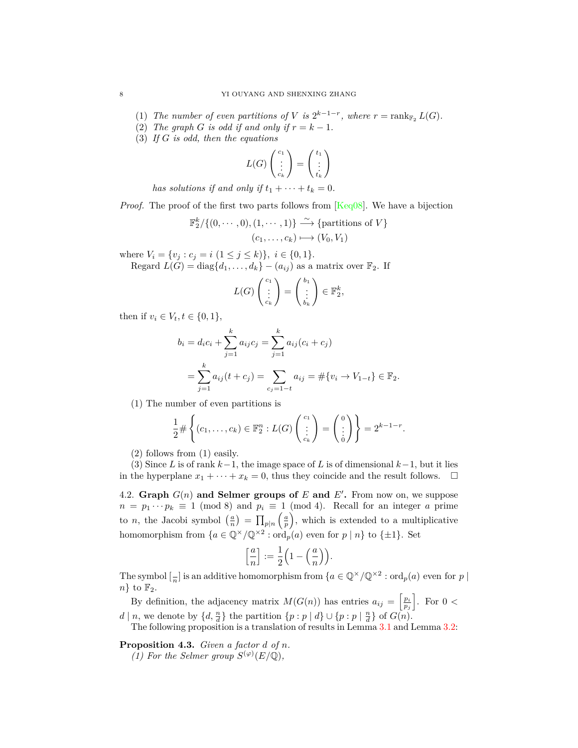- (1) *The number of even partitions of V is*  $2^{k-1-r}$ , where  $r = \text{rank}_{\mathbb{F}_2} L(G)$ .
- (2) *The graph G is odd if and only if*  $r = k 1$ *.*
- (3) *If G is odd, then the equations*

$$
L(G) \begin{pmatrix} c_1 \\ \vdots \\ c_k \end{pmatrix} = \begin{pmatrix} t_1 \\ \vdots \\ t_k \end{pmatrix}
$$

*has solutions if and only if*  $t_1 + \cdots + t_k = 0$ .

*Proof.* The proof of the first two parts follows from [[Keq08](#page-10-2)]. We have a bijection

$$
\mathbb{F}_2^k/\{(0,\dots,0),(1,\dots,1)\} \xrightarrow{\sim} \{\text{partitions of } V\}
$$

$$
(c_1,\dots,c_k) \longmapsto (V_0,V_1)
$$

where  $V_i = \{v_j : c_j = i \ (1 \leq j \leq k)\}, i \in \{0, 1\}.$ 

Regard  $L(G) = \text{diag}\{d_1, \ldots, d_k\} - (a_{ij})$  as a matrix over  $\mathbb{F}_2$ . If

$$
L(G) \begin{pmatrix} c_1 \\ \vdots \\ c_k \end{pmatrix} = \begin{pmatrix} b_1 \\ \vdots \\ b_k \end{pmatrix} \in \mathbb{F}_2^k
$$

*,*

then if  $v_i \in V_t, t \in \{0, 1\},\$ 

$$
b_i = d_i c_i + \sum_{j=1}^k a_{ij} c_j = \sum_{j=1}^k a_{ij} (c_i + c_j)
$$
  
= 
$$
\sum_{j=1}^k a_{ij} (t + c_j) = \sum_{c_j = 1 - t} a_{ij} = # \{v_i \to V_{1-t}\} \in \mathbb{F}_2.
$$

(1) The number of even partitions is

$$
\frac{1}{2} \# \left\{ (c_1, \ldots, c_k) \in \mathbb{F}_2^n : L(G) \begin{pmatrix} c_1 \\ \vdots \\ c_k \end{pmatrix} = \begin{pmatrix} 0 \\ \vdots \\ 0 \end{pmatrix} \right\} = 2^{k-1-r}.
$$

(2) follows from (1) easily.

(3) Since *L* is of rank *k−*1, the image space of *L* is of dimensional *k−*1, but it lies in the hyperplane  $x_1 + \cdots + x_k = 0$ , thus they coincide and the result follows.  $\Box$ 

<span id="page-7-0"></span>4.2. **Graph**  $G(n)$  and **Selmer groups of**  $E$  and  $E'$ . From now on, we suppose  $n = p_1 \cdots p_k \equiv 1 \pmod{8}$  and  $p_i \equiv 1 \pmod{4}$ . Recall for an integer *a* prime to *n*, the Jacobi symbol  $\left(\frac{a}{n}\right) = \prod_{p|n}$  *a p* , which is extended to a multiplicative homomorphism from  $\{a \in \mathbb{Q}^\times/\mathbb{Q}^{\times2} : \text{ord}_p(a) \text{ even for } p \mid n\}$  to  $\{\pm 1\}$ . Set

$$
\left[\frac{a}{n}\right]:=\frac{1}{2}\Big(1-\Big(\frac{a}{n}\Big)\Big).
$$

The symbol  $\left[\frac{n}{n}\right]$  is an additive homomorphism from  $\{a \in \mathbb{Q}^\times/\mathbb{Q}^{\times2} : \text{ord}_p(a) \text{ even for } p \mid a\}$  $n$ *}* to  $\mathbb{F}_2$ .

By definition, the adjacency matrix  $M(G(n))$  has entries  $a_{ij} = \begin{bmatrix} p_i \\ p_j \end{bmatrix}$  $\Big]$ . For  $0 <$  $d | n$ , we denote by  $\{d, \frac{n}{d}\}\$ the partition  $\{p : p | d\} \cup \{p : p | \frac{n}{d}\}\$  of  $G(n)$ .

The following proposition is a translation of results in Lemma [3.1](#page-3-2) and Lemma [3.2:](#page-3-3)

<span id="page-7-1"></span>**Proposition 4.3.** *Given a factor d of n.*

*(1)* For the Selmer group  $S^{(\varphi)}(E/\mathbb{Q})$ ,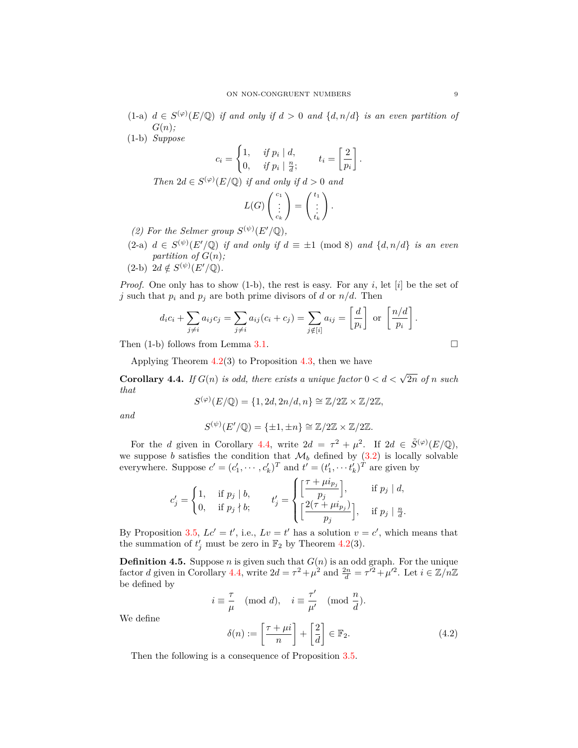- $(1-a)$   $d \in S^{(\varphi)}(E/\mathbb{Q})$  *if and only if*  $d > 0$  *and*  $\{d, n/d\}$  *is an even partition of G*(*n*)*;*
- (1-b) *Suppose*

$$
c_i = \begin{cases} 1, & if \ p_i \mid d, \\ 0, & if \ p_i \mid \frac{n}{d}; \end{cases} \qquad t_i = \left[\frac{2}{p_i}\right].
$$

*Then*  $2d \in S^{(\varphi)}(E/\mathbb{Q})$  *if and only if*  $d > 0$  *and* 

$$
L(G)\begin{pmatrix}c_1\\ \vdots\\ c_k\end{pmatrix}=\begin{pmatrix}t_1\\ \vdots\\ t_k\end{pmatrix}.
$$

- *(2)* For the Selmer group  $S^{(\psi)}(E'/\mathbb{Q})$ ,
- $(2-a)$   $d \in S^{(\psi)}(E'/\mathbb{Q})$  *if and only if*  $d \equiv \pm 1 \pmod{8}$  *and*  $\{d, n/d\}$  *is an even partition of*  $G(n)$ *;*
- $(2-b)$   $2d \notin S^{(\psi)}(E'/\mathbb{Q})$ .

*Proof.* One only has to show (1-b), the rest is easy. For any *i*, let [*i*] be the set of *j* such that  $p_i$  and  $p_j$  are both prime divisors of *d* or  $n/d$ . Then

$$
d_i c_i + \sum_{j \neq i} a_{ij} c_j = \sum_{j \neq i} a_{ij} (c_i + c_j) = \sum_{j \notin [i]} a_{ij} = \left[ \frac{d}{p_i} \right] \text{ or } \left[ \frac{n/d}{p_i} \right].
$$

Then  $(1-b)$  follows from Lemma [3.1](#page-3-2).

Applying Theorem  $4.2(3)$  $4.2(3)$  to Proposition  $4.3$ , then we have

<span id="page-8-1"></span>**Corollary 4.4.** *If*  $G(n)$  *is odd, there exists a unique factor*  $0 < d < \sqrt{2n}$  *of n such that*

$$
S^{(\varphi)}(E/\mathbb{Q}) = \{1, 2d, 2n/d, n\} \cong \mathbb{Z}/2\mathbb{Z} \times \mathbb{Z}/2\mathbb{Z},
$$

*and*

$$
S^{(\psi)}(E'/\mathbb{Q}) = \{\pm 1, \pm n\} \cong \mathbb{Z}/2\mathbb{Z} \times \mathbb{Z}/2\mathbb{Z}.
$$

For the *d* given in Corollary [4.4](#page-8-1), write  $2d = \tau^2 + \mu^2$ . If  $2d \in \tilde{S}^{(\varphi)}(E/\mathbb{Q})$ , we suppose *b* satisfies the condition that  $\mathcal{M}_b$  defined by ([3.2\)](#page-4-1) is locally solvable everywhere. Suppose  $c' = (c'_1, \dots, c'_k)^T$  and  $t' = (t'_1, \dots, t'_k)^T$  are given by

$$
c'_{j} = \begin{cases} 1, & \text{if } p_{j} \mid b, \\ 0, & \text{if } p_{j} \nmid b; \end{cases} \qquad t'_{j} = \begin{cases} \left[ \frac{\tau + \mu i_{p_{j}}}{p_{j}} \right], & \text{if } p_{j} \mid d, \\ \left[ \frac{2(\tau + \mu i_{p_{j}})}{p_{j}} \right], & \text{if } p_{j} \mid \frac{n}{d}. \end{cases}
$$

By Proposition [3.5](#page-6-4),  $Lc' = t'$ , i.e.,  $Lv = t'$  has a solution  $v = c'$ , which means that the summation of  $t'_{j}$  must be zero in  $\mathbb{F}_{2}$  by Theorem [4.2](#page-6-3)(3).

**Definition 4.5.** Suppose *n* is given such that  $G(n)$  is an odd graph. For the unique factor *d* given in Corollary [4.4](#page-8-1), write  $2d = \tau^2 + \mu^2$  and  $\frac{2n}{d} = \tau'^2 + \mu'^2$ . Let  $i \in \mathbb{Z}/n\mathbb{Z}$ be defined by

$$
i \equiv \frac{\tau}{\mu} \pmod{d}, \quad i \equiv \frac{\tau'}{\mu'} \pmod{\frac{n}{d}}.
$$

We define

<span id="page-8-0"></span>
$$
\delta(n) := \left[\frac{\tau + \mu i}{n}\right] + \left[\frac{2}{d}\right] \in \mathbb{F}_2.
$$
\n(4.2)

Then the following is a consequence of Proposition [3.5](#page-6-4).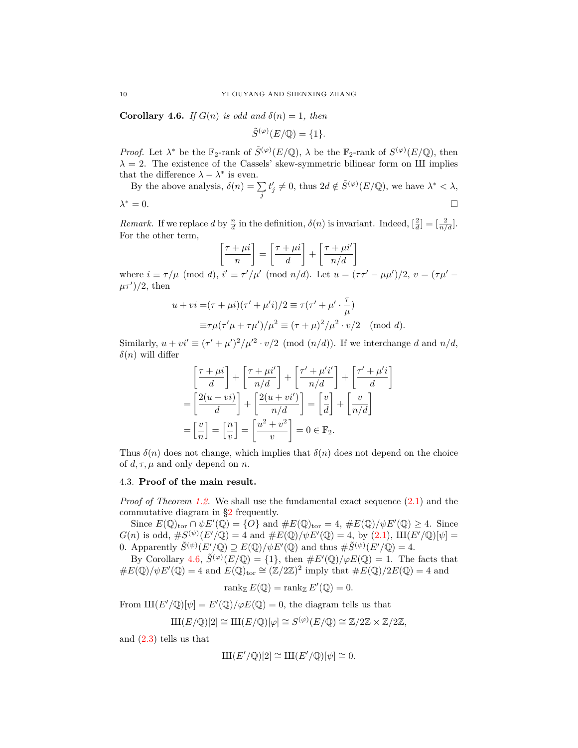<span id="page-9-1"></span>**Corollary 4.6.** *If*  $G(n)$  *is odd and*  $\delta(n) = 1$ *, then* 

$$
\tilde{S}^{(\varphi)}(E/\mathbb{Q}) = \{1\}.
$$

*Proof.* Let  $\lambda^*$  be the  $\mathbb{F}_2$ -rank of  $\tilde{S}^{(\varphi)}(E/\mathbb{Q})$ ,  $\lambda$  be the  $\mathbb{F}_2$ -rank of  $S^{(\varphi)}(E/\mathbb{Q})$ , then  $\lambda = 2$ . The existence of the Cassels' skew-symmetric bilinear form on III implies that the difference  $\lambda - \lambda^*$  is even.

By the above analysis,  $\delta(n) = \sum$ *j*  $t'_{j} \neq 0$ , thus  $2d \notin \tilde{S}^{(\varphi)}(E/\mathbb{Q})$ , we have  $\lambda^* < \lambda$ ,  $\lambda^* = 0.$ *<sup>∗</sup>* = 0.

*Remark.* If we replace *d* by  $\frac{n}{d}$  in the definition,  $\delta(n)$  is invariant. Indeed,  $\left[\frac{2}{d}\right] = \left[\frac{2}{n/d}\right]$ . For the other term,

$$
\left[\frac{\tau + \mu i}{n}\right] = \left[\frac{\tau + \mu i}{d}\right] + \left[\frac{\tau + \mu i'}{n/d}\right]
$$

where  $i \equiv \tau/\mu \pmod{d}$ ,  $i' \equiv \tau'/\mu' \pmod{n/d}$ . Let  $u = (\tau \tau' - \mu \mu')/2$ ,  $v = (\tau \mu' - \mu')$  $(\mu \tau')/2$ , then

$$
u + vi = (\tau + \mu i)(\tau' + \mu' i)/2 \equiv \tau(\tau' + \mu' \cdot \frac{\tau}{\mu})
$$
  

$$
\equiv \tau \mu(\tau' \mu + \tau \mu')/\mu^2 \equiv (\tau + \mu)^2/\mu^2 \cdot v/2 \pmod{d}.
$$

Similarly,  $u + vi' \equiv (\tau' + \mu')^2/\mu'^2 \cdot v/2$  (mod  $(n/d)$ ). If we interchange *d* and  $n/d$ ,  $\delta(n)$  will differ

$$
\begin{aligned}\n\left[\frac{\tau + \mu i}{d}\right] + \left[\frac{\tau + \mu i'}{n/d}\right] + \left[\frac{\tau' + \mu' i'}{n/d}\right] + \left[\frac{\tau' + \mu' i}{d}\right] \\
= \left[\frac{2(u + vi)}{d}\right] + \left[\frac{2(u + vi')}{n/d}\right] = \left[\frac{v}{d}\right] + \left[\frac{v}{n/d}\right] \\
= \left[\frac{v}{n}\right] = \left[\frac{n}{v}\right] = \left[\frac{u^2 + v^2}{v}\right] = 0 \in \mathbb{F}_2.\n\end{aligned}
$$

Thus  $\delta(n)$  does not change, which implies that  $\delta(n)$  does not depend on the choice of  $d, \tau, \mu$  and only depend on *n*.

# <span id="page-9-0"></span>4.3. **Proof of the main result.**

*Proof of Theorem [1.2.](#page-1-1)* We shall use the fundamental exact sequence  $(2.1)$  and the commutative diagram in [§2](#page-1-0) frequently.

Since  $E(\mathbb{Q})_{\text{tor}} \cap \psi E'(\mathbb{Q}) = \{O\}$  and  $\#E(\mathbb{Q})_{\text{tor}} = 4$ ,  $\#E(\mathbb{Q})/\psi E'(\mathbb{Q}) \geq 4$ . Since  $G(n)$  is odd,  $\#S^{(\psi)}(E'/\mathbb{Q}) = 4$  and  $\#E(\mathbb{Q})/\psi E'(\mathbb{Q}) = 4$ , by  $(2.1)$  $(2.1)$ ,  $III(E'/\mathbb{Q})[\psi] =$ 0. Apparently  $\tilde{S}^{(\psi)}(E'/\mathbb{Q}) \supseteq E(\mathbb{Q})/\psi E'(\mathbb{Q})$  and thus  $\#\tilde{S}^{(\psi)}(E'/\mathbb{Q}) = 4$ .

By Corollary [4.6,](#page-9-1)  $\tilde{S}^{(\varphi)}(E/\mathbb{Q}) = \{1\}$ , then  $\#E'(\mathbb{Q})/\varphi E(\mathbb{Q}) = 1$ . The facts that  $\#E(\mathbb{Q})/\psi E'(\mathbb{Q}) = 4$  and  $E(\mathbb{Q})_{\text{tor}} \cong (\mathbb{Z}/2\mathbb{Z})^2$  imply that  $\#E(\mathbb{Q})/2E(\mathbb{Q}) = 4$  and

$$
rank_{\mathbb{Z}} E(\mathbb{Q}) = rank_{\mathbb{Z}} E'(\mathbb{Q}) = 0.
$$

From  $\text{III}(E'/\mathbb{Q})[\psi] = E'(\mathbb{Q})/\varphi E(\mathbb{Q}) = 0$ , the diagram tells us that

$$
\mathrm{III}(E/\mathbb{Q})[2] \cong \mathrm{III}(E/\mathbb{Q})[\varphi] \cong S^{(\varphi)}(E/\mathbb{Q}) \cong \mathbb{Z}/2\mathbb{Z} \times \mathbb{Z}/2\mathbb{Z},
$$

and ([2.3\)](#page-2-2) tells us that

$$
\mathop{\mathrm{III}}\nolimits(E'/\mathbb{Q})[2] \cong \mathop{\mathrm{III}}\nolimits(E'/\mathbb{Q})[\psi] \cong 0.
$$